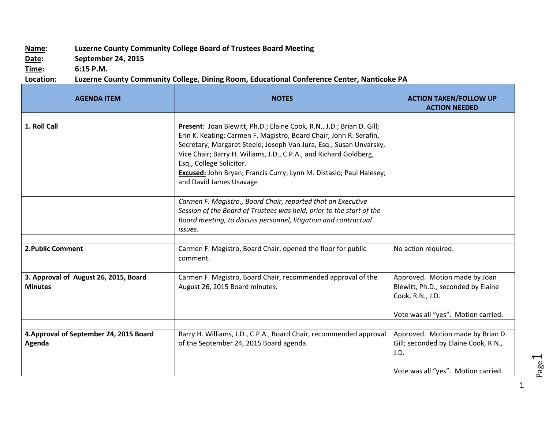## **Name: Luzerne County Community College Board of Trustees Board Meeting**

**Date: September 24, 2015**

**Time: 6:15 P.M.**

## **Location: Luzerne County Community College, Dining Room, Educational Conference Center, Nanticoke PA**

| <b>AGENDA ITEM</b>                                      | <b>NOTES</b>                                                                                                                                                                                                                                                                                                                                                                                                         | <b>ACTION TAKEN/FOLLOW UP</b><br><b>ACTION NEEDED</b>                                                                          |
|---------------------------------------------------------|----------------------------------------------------------------------------------------------------------------------------------------------------------------------------------------------------------------------------------------------------------------------------------------------------------------------------------------------------------------------------------------------------------------------|--------------------------------------------------------------------------------------------------------------------------------|
|                                                         |                                                                                                                                                                                                                                                                                                                                                                                                                      |                                                                                                                                |
| 1. Roll Call                                            | Present: Joan Blewitt, Ph.D.; Elaine Cook, R.N., J.D.; Brian D. Gill;<br>Erin K. Keating; Carmen F. Magistro, Board Chair; John R. Serafin,<br>Secretary; Margaret Steele; Joseph Van Jura, Esq.; Susan Unvarsky,<br>Vice Chair; Barry H. Wiliams, J.D., C.P.A., and Richard Goldberg,<br>Esq., College Solicitor.<br>Excused: John Bryan; Francis Curry; Lynn M. Distasio; Paul Halesey;<br>and David James Usavage |                                                                                                                                |
|                                                         |                                                                                                                                                                                                                                                                                                                                                                                                                      |                                                                                                                                |
|                                                         | Carmen F. Magistro., Board Chair, reported that an Executive<br>Session of the Board of Trustees was held, prior to the start of the<br>Board meeting, to discuss personnel, litigation and contractual<br>issues.                                                                                                                                                                                                   |                                                                                                                                |
|                                                         |                                                                                                                                                                                                                                                                                                                                                                                                                      |                                                                                                                                |
| <b>2. Public Comment</b>                                | Carmen F. Magistro, Board Chair, opened the floor for public<br>comment.                                                                                                                                                                                                                                                                                                                                             | No action required.                                                                                                            |
|                                                         |                                                                                                                                                                                                                                                                                                                                                                                                                      |                                                                                                                                |
| 3. Approval of August 26, 2015, Board<br><b>Minutes</b> | Carmen F. Magistro, Board Chair, recommended approval of the<br>August 26, 2015 Board minutes.                                                                                                                                                                                                                                                                                                                       | Approved. Motion made by Joan<br>Blewitt, Ph.D.; seconded by Elaine<br>Cook, R.N., J.D.<br>Vote was all "yes". Motion carried. |
|                                                         |                                                                                                                                                                                                                                                                                                                                                                                                                      |                                                                                                                                |
| 4. Approval of September 24, 2015 Board<br>Agenda       | Barry H. Williams, J.D., C.P.A., Board Chair, recommended approval<br>of the September 24, 2015 Board agenda.                                                                                                                                                                                                                                                                                                        | Approved. Motion made by Brian D.<br>Gill; seconded by Elaine Cook, R.N.,<br>J.D.<br>Vote was all "yes". Motion carried.       |

Page  $\overline{\phantom{0}}$ 

1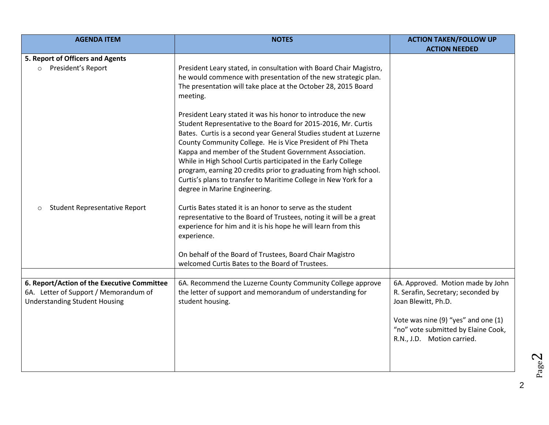| <b>AGENDA ITEM</b>                                                                                                           | <b>NOTES</b>                                                                                                                                                                                                                                                                                                                                                                                                                                                                                                                                                            | <b>ACTION TAKEN/FOLLOW UP</b><br><b>ACTION NEEDED</b>                                                                                                                                                      |
|------------------------------------------------------------------------------------------------------------------------------|-------------------------------------------------------------------------------------------------------------------------------------------------------------------------------------------------------------------------------------------------------------------------------------------------------------------------------------------------------------------------------------------------------------------------------------------------------------------------------------------------------------------------------------------------------------------------|------------------------------------------------------------------------------------------------------------------------------------------------------------------------------------------------------------|
| 5. Report of Officers and Agents<br>President's Report<br>$\circ$                                                            | President Leary stated, in consultation with Board Chair Magistro,<br>he would commence with presentation of the new strategic plan.<br>The presentation will take place at the October 28, 2015 Board<br>meeting.                                                                                                                                                                                                                                                                                                                                                      |                                                                                                                                                                                                            |
|                                                                                                                              | President Leary stated it was his honor to introduce the new<br>Student Representative to the Board for 2015-2016, Mr. Curtis<br>Bates. Curtis is a second year General Studies student at Luzerne<br>County Community College. He is Vice President of Phi Theta<br>Kappa and member of the Student Government Association.<br>While in High School Curtis participated in the Early College<br>program, earning 20 credits prior to graduating from high school.<br>Curtis's plans to transfer to Maritime College in New York for a<br>degree in Marine Engineering. |                                                                                                                                                                                                            |
| <b>Student Representative Report</b><br>$\circ$                                                                              | Curtis Bates stated it is an honor to serve as the student<br>representative to the Board of Trustees, noting it will be a great<br>experience for him and it is his hope he will learn from this<br>experience.                                                                                                                                                                                                                                                                                                                                                        |                                                                                                                                                                                                            |
|                                                                                                                              | On behalf of the Board of Trustees, Board Chair Magistro<br>welcomed Curtis Bates to the Board of Trustees.                                                                                                                                                                                                                                                                                                                                                                                                                                                             |                                                                                                                                                                                                            |
| 6. Report/Action of the Executive Committee<br>6A. Letter of Support / Memorandum of<br><b>Understanding Student Housing</b> | 6A. Recommend the Luzerne County Community College approve<br>the letter of support and memorandum of understanding for<br>student housing.                                                                                                                                                                                                                                                                                                                                                                                                                             | 6A. Approved. Motion made by John<br>R. Serafin, Secretary; seconded by<br>Joan Blewitt, Ph.D.<br>Vote was nine (9) "yes" and one (1)<br>"no" vote submitted by Elaine Cook,<br>R.N., J.D. Motion carried. |